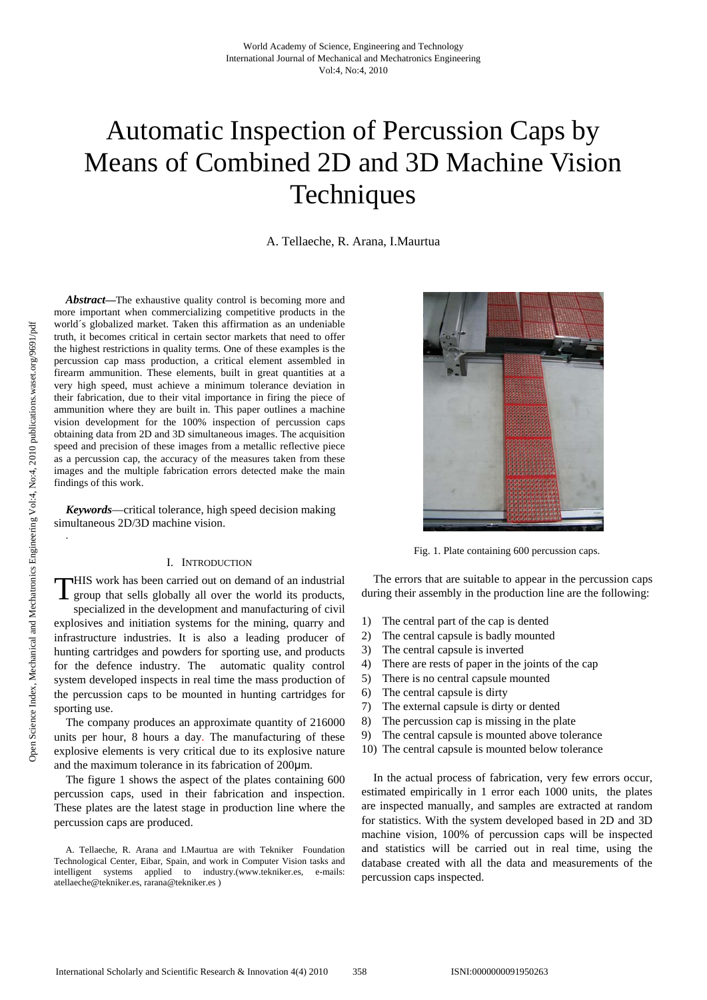# Automatic Inspection of Percussion Caps by Means of Combined 2D and 3D Machine Vision **Techniques**

A. Tellaeche, R. Arana, I.Maurtua

*Abstract***—**The exhaustive quality control is becoming more and more important when commercializing competitive products in the world´s globalized market. Taken this affirmation as an undeniable truth, it becomes critical in certain sector markets that need to offer the highest restrictions in quality terms. One of these examples is the percussion cap mass production, a critical element assembled in firearm ammunition. These elements, built in great quantities at a very high speed, must achieve a minimum tolerance deviation in their fabrication, due to their vital importance in firing the piece of ammunition where they are built in. This paper outlines a machine vision development for the 100% inspection of percussion caps obtaining data from 2D and 3D simultaneous images. The acquisition speed and precision of these images from a metallic reflective piece as a percussion cap, the accuracy of the measures taken from these images and the multiple fabrication errors detected make the main findings of this work.

*Keywords*—critical tolerance, high speed decision making simultaneous 2D/3D machine vision.

#### I. INTRODUCTION

THIS work has been carried out on demand of an industrial group that sells globally all over the world its products, group that sells globally all over the world its products, specialized in the development and manufacturing of civil explosives and initiation systems for the mining, quarry and infrastructure industries. It is also a leading producer of hunting cartridges and powders for sporting use, and products for the defence industry. The automatic quality control system developed inspects in real time the mass production of the percussion caps to be mounted in hunting cartridges for sporting use.

The company produces an approximate quantity of 216000 units per hour, 8 hours a day. The manufacturing of these explosive elements is very critical due to its explosive nature and the maximum tolerance in its fabrication of 200μm.

The figure 1 shows the aspect of the plates containing 600 percussion caps, used in their fabrication and inspection. These plates are the latest stage in production line where the percussion caps are produced.



Fig. 1. Plate containing 600 percussion caps.

The errors that are suitable to appear in the percussion caps during their assembly in the production line are the following:

- 1) The central part of the cap is dented
- 2) The central capsule is badly mounted
- 3) The central capsule is inverted
- 4) There are rests of paper in the joints of the cap
- 5) There is no central capsule mounted
- 6) The central capsule is dirty
- 7) The external capsule is dirty or dented
- 8) The percussion cap is missing in the plate
- 9) The central capsule is mounted above tolerance
- 10) The central capsule is mounted below tolerance

In the actual process of fabrication, very few errors occur, estimated empirically in 1 error each 1000 units, the plates are inspected manually, and samples are extracted at random for statistics. With the system developed based in 2D and 3D machine vision, 100% of percussion caps will be inspected and statistics will be carried out in real time, using the database created with all the data and measurements of the percussion caps inspected.

.

A. Tellaeche, R. Arana and I.Maurtua are with Tekniker Foundation Technological Center, Eibar, Spain, and work in Computer Vision tasks and intelligent systems applied to industry.(www.tekniker.es, e-mails: atellaeche@tekniker.es, rarana@tekniker.es )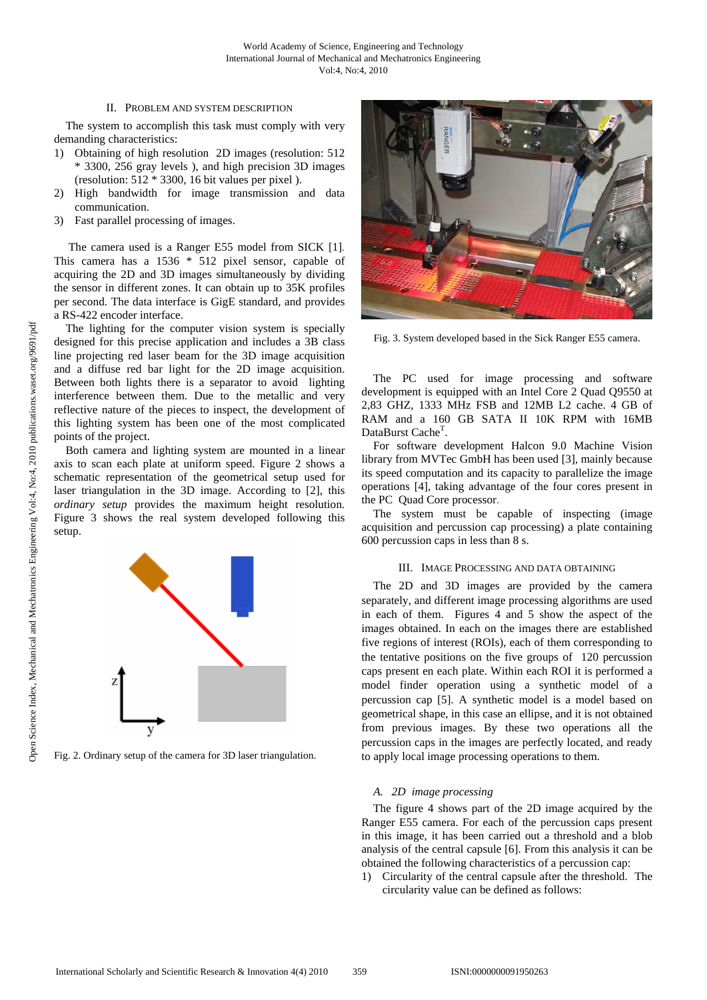## II. PROBLEM AND SYSTEM DESCRIPTION

The system to accomplish this task must comply with very demanding characteristics:

- 1) Obtaining of high resolution 2D images (resolution: 512 \* 3300, 256 gray levels ), and high precision 3D images (resolution: 512 \* 3300, 16 bit values per pixel ).
- 2) High bandwidth for image transmission and data communication.
- 3) Fast parallel processing of images.

 The camera used is a Ranger E55 model from SICK [1]. This camera has a 1536 \* 512 pixel sensor, capable of acquiring the 2D and 3D images simultaneously by dividing the sensor in different zones. It can obtain up to 35K profiles per second. The data interface is GigE standard, and provides a RS-422 encoder interface.

The lighting for the computer vision system is specially designed for this precise application and includes a 3B class line projecting red laser beam for the 3D image acquisition and a diffuse red bar light for the 2D image acquisition. Between both lights there is a separator to avoid lighting interference between them. Due to the metallic and very reflective nature of the pieces to inspect, the development of this lighting system has been one of the most complicated points of the project.

Both camera and lighting system are mounted in a linear axis to scan each plate at uniform speed. Figure 2 shows a schematic representation of the geometrical setup used for laser triangulation in the 3D image. According to [2], this *ordinary setup* provides the maximum height resolution. Figure 3 shows the real system developed following this setup.



Fig. 2. Ordinary setup of the camera for 3D laser triangulation.



Fig. 3. System developed based in the Sick Ranger E55 camera.

The PC used for image processing and software development is equipped with an Intel Core 2 Quad Q9550 at 2,83 GHZ, 1333 MHz FSB and 12MB L2 cache. 4 GB of RAM and a 160 GB SATA II 10K RPM with 16MB DataBurst Cache<sup>T</sup>.

For software development Halcon 9.0 Machine Vision library from MVTec GmbH has been used [3], mainly because its speed computation and its capacity to parallelize the image operations [4], taking advantage of the four cores present in the PC Quad Core processor.

The system must be capable of inspecting (image acquisition and percussion cap processing) a plate containing 600 percussion caps in less than 8 s.

## III. IMAGE PROCESSING AND DATA OBTAINING

The 2D and 3D images are provided by the camera separately, and different image processing algorithms are used in each of them. Figures 4 and 5 show the aspect of the images obtained. In each on the images there are established five regions of interest (ROIs), each of them corresponding to the tentative positions on the five groups of 120 percussion caps present en each plate. Within each ROI it is performed a model finder operation using a synthetic model of a percussion cap [5]. A synthetic model is a model based on geometrical shape, in this case an ellipse, and it is not obtained from previous images. By these two operations all the percussion caps in the images are perfectly located, and ready to apply local image processing operations to them.

## *A. 2D image processing*

The figure 4 shows part of the 2D image acquired by the Ranger E55 camera. For each of the percussion caps present in this image, it has been carried out a threshold and a blob analysis of the central capsule [6]. From this analysis it can be obtained the following characteristics of a percussion cap:

1) Circularity of the central capsule after the threshold. The circularity value can be defined as follows: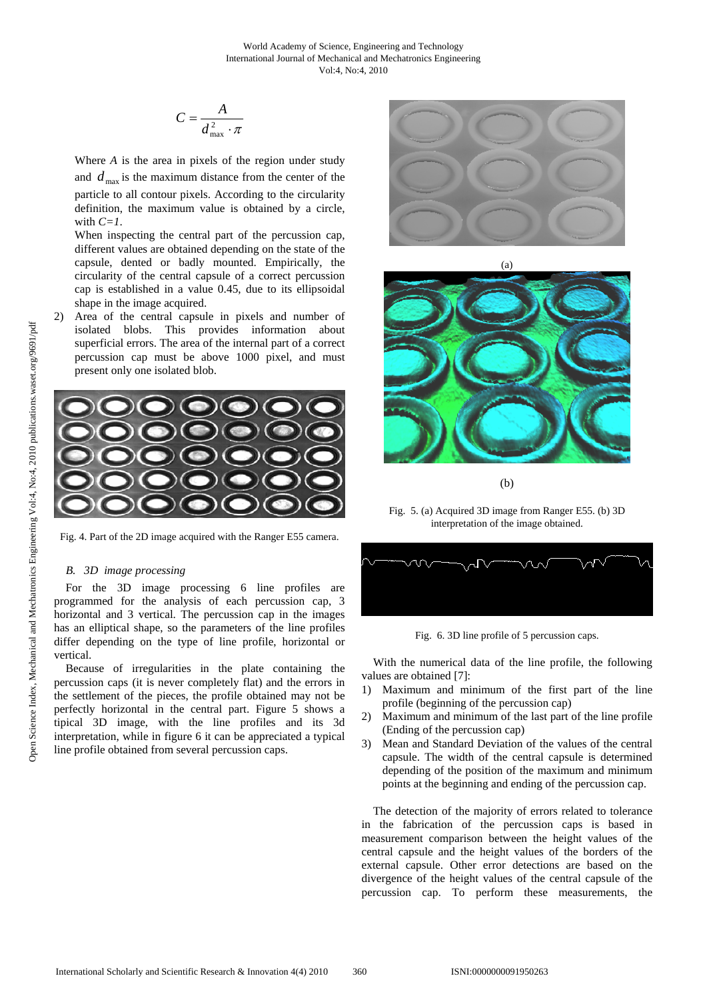$$
C = \frac{A}{d_{\max}^2 \cdot \pi}
$$

Where *A* is the area in pixels of the region under study and  $d_{\text{max}}$  is the maximum distance from the center of the particle to all contour pixels. According to the circularity definition, the maximum value is obtained by a circle, with  $C=1$ .

When inspecting the central part of the percussion cap, different values are obtained depending on the state of the capsule, dented or badly mounted. Empirically, the circularity of the central capsule of a correct percussion cap is established in a value 0.45, due to its ellipsoidal shape in the image acquired.

Area of the central capsule in pixels and number of isolated blobs. This provides information about superficial errors. The area of the internal part of a correct percussion cap must be above 1000 pixel, and must present only one isolated blob.



Fig. 4. Part of the 2D image acquired with the Ranger E55 camera.

## *B. 3D image processing*

For the 3D image processing 6 line profiles are programmed for the analysis of each percussion cap, 3 horizontal and 3 vertical. The percussion cap in the images has an elliptical shape, so the parameters of the line profiles differ depending on the type of line profile, horizontal or vertical.

Because of irregularities in the plate containing the percussion caps (it is never completely flat) and the errors in the settlement of the pieces, the profile obtained may not be perfectly horizontal in the central part. Figure 5 shows a tipical 3D image, with the line profiles and its 3d interpretation, while in figure 6 it can be appreciated a typical line profile obtained from several percussion caps.



(a)



(b)

Fig. 5. (a) Acquired 3D image from Ranger E55. (b) 3D interpretation of the image obtained.



Fig. 6. 3D line profile of 5 percussion caps.

With the numerical data of the line profile, the following values are obtained [7]:

- 1) Maximum and minimum of the first part of the line profile (beginning of the percussion cap)
- 2) Maximum and minimum of the last part of the line profile (Ending of the percussion cap)
- 3) Mean and Standard Deviation of the values of the central capsule. The width of the central capsule is determined depending of the position of the maximum and minimum points at the beginning and ending of the percussion cap.

The detection of the majority of errors related to tolerance in the fabrication of the percussion caps is based in measurement comparison between the height values of the central capsule and the height values of the borders of the external capsule. Other error detections are based on the divergence of the height values of the central capsule of the percussion cap. To perform these measurements, the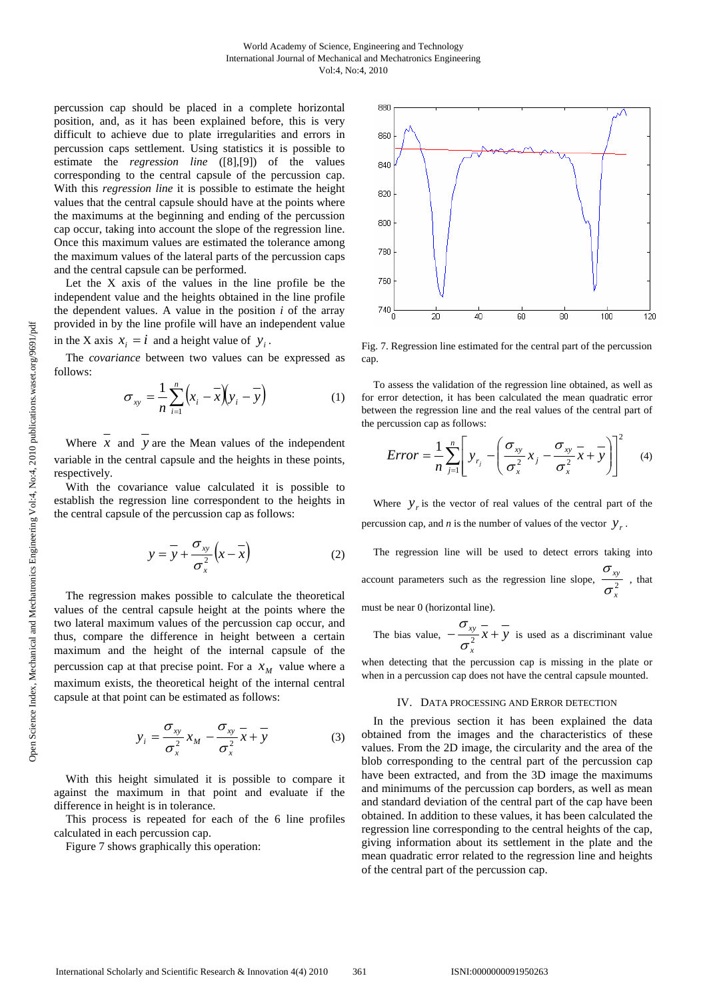percussion cap should be placed in a complete horizontal position, and, as it has been explained before, this is very difficult to achieve due to plate irregularities and errors in percussion caps settlement. Using statistics it is possible to estimate the *regression line* ([8],[9]) of the values corresponding to the central capsule of the percussion cap. With this *regression line* it is possible to estimate the height values that the central capsule should have at the points where the maximums at the beginning and ending of the percussion cap occur, taking into account the slope of the regression line. Once this maximum values are estimated the tolerance among the maximum values of the lateral parts of the percussion caps and the central capsule can be performed.

Let the X axis of the values in the line profile be the independent value and the heights obtained in the line profile the dependent values. A value in the position *i* of the array provided in by the line profile will have an independent value in the X axis  $x_i = i$  and a height value of  $y_i$ .

The *covariance* between two values can be expressed as follows:

$$
\sigma_{xy} = \frac{1}{n} \sum_{i=1}^{n} \left( x_i - \overline{x} \right) \left( y_i - \overline{y} \right) \tag{1}
$$

Where  $\overline{x}$  and  $\overline{y}$  are the Mean values of the independent variable in the central capsule and the heights in these points, respectively.

With the covariance value calculated it is possible to establish the regression line correspondent to the heights in the central capsule of the percussion cap as follows:

$$
y = \overline{y} + \frac{\sigma_{xy}}{\sigma_x^2} (x - \overline{x})
$$
 (2)

The regression makes possible to calculate the theoretical values of the central capsule height at the points where the two lateral maximum values of the percussion cap occur, and thus, compare the difference in height between a certain maximum and the height of the internal capsule of the percussion cap at that precise point. For a  $x<sub>M</sub>$  value where a maximum exists, the theoretical height of the internal central capsule at that point can be estimated as follows:

$$
y_i = \frac{\sigma_{xy}}{\sigma_x^2} x_M - \frac{\sigma_{xy}}{\sigma_x^2} \overline{x} + \overline{y}
$$
 (3)

With this height simulated it is possible to compare it against the maximum in that point and evaluate if the difference in height is in tolerance.

This process is repeated for each of the 6 line profiles calculated in each percussion cap.

Figure 7 shows graphically this operation:



Fig. 7. Regression line estimated for the central part of the percussion cap.

To assess the validation of the regression line obtained, as well as for error detection, it has been calculated the mean quadratic error between the regression line and the real values of the central part of the percussion cap as follows:

$$
Error = \frac{1}{n} \sum_{j=1}^{n} \left[ y_{r_j} - \left( \frac{\sigma_{xy}}{\sigma_x^2} x_j - \frac{\sigma_{xy}}{\sigma_x^2} x + y \right) \right]^2 \tag{4}
$$

Where  $y<sub>r</sub>$  is the vector of real values of the central part of the percussion cap, and *n* is the number of values of the vector  $y_r$ .

The regression line will be used to detect errors taking into account parameters such as the regression line slope,  $\frac{20}{\epsilon^2}$ *x xy* σ  $\frac{\sigma_{xy}}{2}$ , that

must be near 0 (horizontal line).

The bias value, 
$$
-\frac{\sigma_{xy}}{\sigma_x^2} \overline{x} + \overline{y}
$$
 is used as a discriminant value

when detecting that the percussion cap is missing in the plate or when in a percussion cap does not have the central capsule mounted.

#### IV. DATA PROCESSING AND ERROR DETECTION

In the previous section it has been explained the data obtained from the images and the characteristics of these values. From the 2D image, the circularity and the area of the blob corresponding to the central part of the percussion cap have been extracted, and from the 3D image the maximums and minimums of the percussion cap borders, as well as mean and standard deviation of the central part of the cap have been obtained. In addition to these values, it has been calculated the regression line corresponding to the central heights of the cap, giving information about its settlement in the plate and the mean quadratic error related to the regression line and heights of the central part of the percussion cap.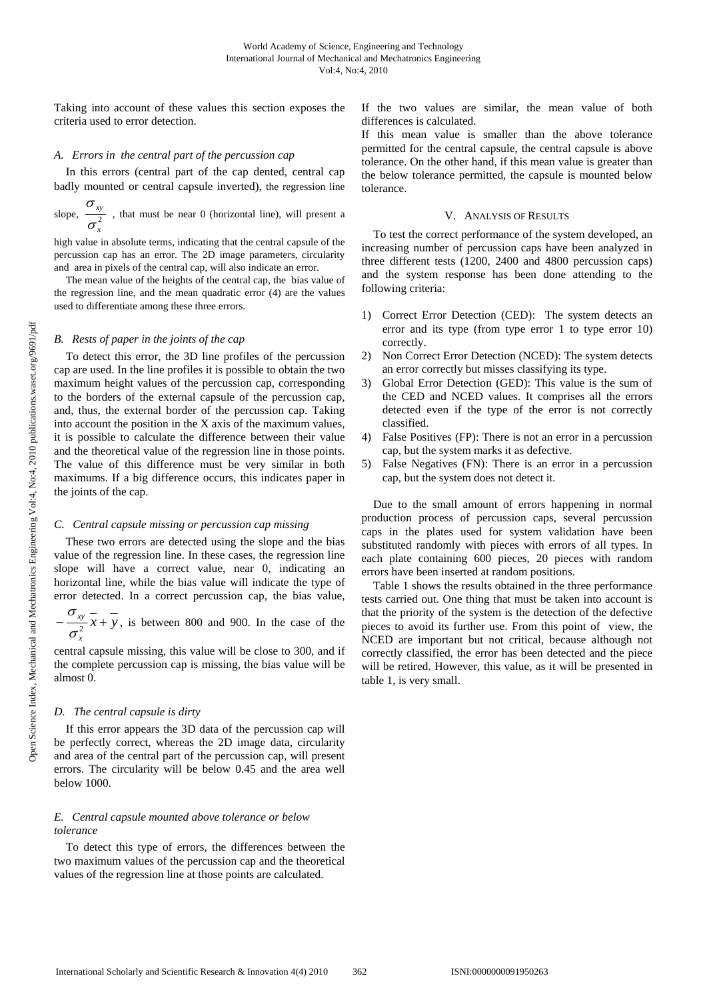Taking into account of these values this section exposes the criteria used to error detection.

### *A. Errors in the central part of the percussion cap*

In this errors (central part of the cap dented, central cap badly mounted or central capsule inverted), the regression line

slope,  $\frac{2}{\sqrt{2}}$ *x xy* σ  $\sigma_{xy}$ , that must be near 0 (horizontal line), will present a

high value in absolute terms, indicating that the central capsule of the percussion cap has an error. The 2D image parameters, circularity and area in pixels of the central cap, will also indicate an error.

The mean value of the heights of the central cap, the bias value of the regression line, and the mean quadratic error (4) are the values used to differentiate among these three errors.

#### *B. Rests of paper in the joints of the cap*

To detect this error, the 3D line profiles of the percussion cap are used. In the line profiles it is possible to obtain the two maximum height values of the percussion cap, corresponding to the borders of the external capsule of the percussion cap, and, thus, the external border of the percussion cap. Taking into account the position in the X axis of the maximum values, it is possible to calculate the difference between their value and the theoretical value of the regression line in those points. The value of this difference must be very similar in both maximums. If a big difference occurs, this indicates paper in the joints of the cap.

## *C. Central capsule missing or percussion cap missing*

These two errors are detected using the slope and the bias value of the regression line. In these cases, the regression line slope will have a correct value, near 0, indicating an horizontal line, while the bias value will indicate the type of error detected. In a correct percussion cap, the bias value,

*x y*  $-\frac{\sigma_{xy}}{\sigma_x^2} \overline{x} + \overline{y}$ , is between 800 and 900. In the case of the

central capsule missing, this value will be close to 300, and if the complete percussion cap is missing, the bias value will be almost 0.

### *D. The central capsule is dirty*

If this error appears the 3D data of the percussion cap will be perfectly correct, whereas the 2D image data, circularity and area of the central part of the percussion cap, will present errors. The circularity will be below 0.45 and the area well below 1000.

## *E. Central capsule mounted above tolerance or below tolerance*

To detect this type of errors, the differences between the two maximum values of the percussion cap and the theoretical values of the regression line at those points are calculated.

If the two values are similar, the mean value of both differences is calculated.

If this mean value is smaller than the above tolerance permitted for the central capsule, the central capsule is above tolerance. On the other hand, if this mean value is greater than the below tolerance permitted, the capsule is mounted below tolerance.

#### V. ANALYSIS OF RESULTS

To test the correct performance of the system developed, an increasing number of percussion caps have been analyzed in three different tests (1200, 2400 and 4800 percussion caps) and the system response has been done attending to the following criteria:

- 1) Correct Error Detection (CED): The system detects an error and its type (from type error 1 to type error 10) correctly.
- 2) Non Correct Error Detection (NCED): The system detects an error correctly but misses classifying its type.
- 3) Global Error Detection (GED): This value is the sum of the CED and NCED values. It comprises all the errors detected even if the type of the error is not correctly classified.
- 4) False Positives (FP): There is not an error in a percussion cap, but the system marks it as defective.
- 5) False Negatives (FN): There is an error in a percussion cap, but the system does not detect it.

Due to the small amount of errors happening in normal production process of percussion caps, several percussion caps in the plates used for system validation have been substituted randomly with pieces with errors of all types. In each plate containing 600 pieces, 20 pieces with random errors have been inserted at random positions.

Table 1 shows the results obtained in the three performance tests carried out. One thing that must be taken into account is that the priority of the system is the detection of the defective pieces to avoid its further use. From this point of view, the NCED are important but not critical, because although not correctly classified, the error has been detected and the piece will be retired. However, this value, as it will be presented in table 1, is very small.